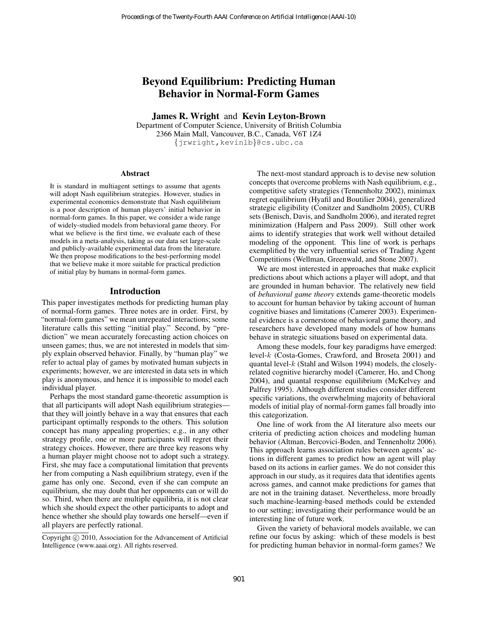# Beyond Equilibrium: Predicting Human Behavior in Normal-Form Games

James R. Wright and Kevin Leyton-Brown

Department of Computer Science, University of British Columbia 2366 Main Mall, Vancouver, B.C., Canada, V6T 1Z4 {jrwright,kevinlb}@cs.ubc.ca

#### Abstract

It is standard in multiagent settings to assume that agents will adopt Nash equilibrium strategies. However, studies in experimental economics demonstrate that Nash equilibrium is a poor description of human players' initial behavior in normal-form games. In this paper, we consider a wide range of widely-studied models from behavioral game theory. For what we believe is the first time, we evaluate each of these models in a meta-analysis, taking as our data set large-scale and publicly-available experimental data from the literature. We then propose modifications to the best-performing model that we believe make it more suitable for practical prediction of initial play by humans in normal-form games.

#### Introduction

This paper investigates methods for predicting human play of normal-form games. Three notes are in order. First, by "normal-form games" we mean unrepeated interactions; some literature calls this setting "initial play." Second, by "prediction" we mean accurately forecasting action choices on unseen games; thus, we are not interested in models that simply explain observed behavior. Finally, by "human play" we refer to actual play of games by motivated human subjects in experiments; however, we are interested in data sets in which play is anonymous, and hence it is impossible to model each individual player.

Perhaps the most standard game-theoretic assumption is that all participants will adopt Nash equilibrium strategies that they will jointly behave in a way that ensures that each participant optimally responds to the others. This solution concept has many appealing properties; e.g., in any other strategy profile, one or more participants will regret their strategy choices. However, there are three key reasons why a human player might choose not to adopt such a strategy. First, she may face a computational limitation that prevents her from computing a Nash equilibrium strategy, even if the game has only one. Second, even if she can compute an equilibrium, she may doubt that her opponents can or will do so. Third, when there are multiple equilibria, it is not clear which she should expect the other participants to adopt and hence whether she should play towards one herself—even if all players are perfectly rational. Proceedings of the Twenty-Fourth AAAI Conference on Artificial Intelligence (AAA-10)<br> **Beyond Equilibrium:** Predicting Humann<br> **Behavior in Normal-Form Games**<br> **Dependent ARI-Wind Revival Level to Processo Fourth ACI-10)** 

The next-most standard approach is to devise new solution concepts that overcome problems with Nash equilibrium, e.g., competitive safety strategies (Tennenholtz 2002), minimax regret equilibrium (Hyafil and Boutilier 2004), generalized strategic eligibility (Conitzer and Sandholm 2005), CURB sets (Benisch, Davis, and Sandholm 2006), and iterated regret minimization (Halpern and Pass 2009). Still other work aims to identify strategies that work well without detailed modeling of the opponent. This line of work is perhaps exemplified by the very influential series of Trading Agent Competitions (Wellman, Greenwald, and Stone 2007).

We are most interested in approaches that make explicit predictions about which actions a player will adopt, and that are grounded in human behavior. The relatively new field of *behavioral game theory* extends game-theoretic models to account for human behavior by taking account of human cognitive biases and limitations (Camerer 2003). Experimental evidence is a cornerstone of behavioral game theory, and researchers have developed many models of how humans behave in strategic situations based on experimental data.

Among these models, four key paradigms have emerged: level-k (Costa-Gomes, Crawford, and Broseta 2001) and quantal level-k (Stahl and Wilson 1994) models, the closelyrelated cognitive hierarchy model (Camerer, Ho, and Chong 2004), and quantal response equilibrium (McKelvey and Palfrey 1995). Although different studies consider different specific variations, the overwhelming majority of behavioral models of initial play of normal-form games fall broadly into this categorization.

One line of work from the AI literature also meets our criteria of predicting action choices and modeling human behavior (Altman, Bercovici-Boden, and Tennenholtz 2006). This approach learns association rules between agents' actions in different games to predict how an agent will play based on its actions in earlier games. We do not consider this approach in our study, as it requires data that identifies agents across games, and cannot make predictions for games that are not in the training dataset. Nevertheless, more broadly such machine-learning-based methods could be extended to our setting; investigating their performance would be an interesting line of future work.

Given the variety of behavioral models available, we can refine our focus by asking: which of these models is best for predicting human behavior in normal-form games? We

Copyright © 2010, Association for the Advancement of Artificial Intelligence (www.aaai.org). All rights reserved.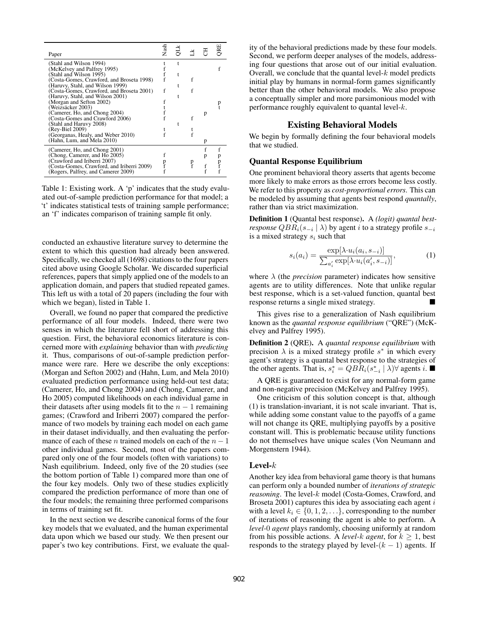| Paper                                      | Nash |  | 풍 |  |
|--------------------------------------------|------|--|---|--|
| (Stahl and Wilson 1994)                    |      |  |   |  |
| McKelvey and Palfrey 1995)                 |      |  |   |  |
| Stahl and Wilson 1995)                     |      |  |   |  |
| (Costa-Gomes, Crawford, and Broseta 1998)  |      |  |   |  |
| (Haruvy, Stahl, and Wilson 1999)           |      |  |   |  |
| (Costa-Gomes, Crawford, and Broseta 2001)  | f    |  |   |  |
| (Haruvy, Stahl, and Wilson 2001)           |      |  |   |  |
| (Morgan and Sefton 2002)                   |      |  |   |  |
| (Weizsäcker 2003)                          |      |  |   |  |
| (Camerer, Ho, and Chong 2004)              |      |  | p |  |
| (Costa-Gomes and Crawford 2006)            |      |  |   |  |
| (Stahl and Haruvy 2008)                    |      |  |   |  |
| (Rev-Biel 2009)                            |      |  |   |  |
| (Georganas, Healy, and Weber 2010)         |      |  |   |  |
| (Hahn, Lum, and Mela 2010)                 |      |  | p |  |
|                                            |      |  |   |  |
| (Camerer, Ho, and Chong 2001)              |      |  | f |  |
| (Chong, Camerer, and Ho 2005)              |      |  |   |  |
| (Crawford and Iriberri 2007)               |      |  |   |  |
| (Costa-Gomes, Crawford, and Iriberri 2009) |      |  |   |  |
| (Rogers, Palfrey, and Camerer 2009)        |      |  |   |  |
|                                            |      |  |   |  |

Table 1: Existing work. A 'p' indicates that the study evaluated out-of-sample prediction performance for that model; a 't' indicates statistical tests of training sample performance; an 'f' indicates comparison of training sample fit only.

conducted an exhaustive literature survey to determine the extent to which this question had already been answered. Specifically, we checked all (1698) citations to the four papers cited above using Google Scholar. We discarded superficial references, papers that simply applied one of the models to an application domain, and papers that studied repeated games. This left us with a total of 20 papers (including the four with which we began), listed in Table 1.

Overall, we found no paper that compared the predictive performance of all four models. Indeed, there were two senses in which the literature fell short of addressing this question. First, the behavioral economics literature is concerned more with *explaining* behavior than with *predicting* it. Thus, comparisons of out-of-sample prediction performance were rare. Here we describe the only exceptions: (Morgan and Sefton 2002) and (Hahn, Lum, and Mela 2010) evaluated prediction performance using held-out test data; (Camerer, Ho, and Chong 2004) and (Chong, Camerer, and Ho 2005) computed likelihoods on each individual game in their datasets after using models fit to the  $n - 1$  remaining games; (Crawford and Iriberri 2007) compared the performance of two models by training each model on each game in their dataset individually, and then evaluating the performance of each of these *n* trained models on each of the  $n - 1$ other individual games. Second, most of the papers compared only one of the four models (often with variations) to Nash equilibrium. Indeed, only five of the 20 studies (see the bottom portion of Table 1) compared more than one of the four key models. Only two of these studies explicitly compared the prediction performance of more than one of the four models; the remaining three performed comparisons in terms of training set fit.

In the next section we describe canonical forms of the four key models that we evaluated, and the human experimental data upon which we based our study. We then present our paper's two key contributions. First, we evaluate the quality of the behavioral predictions made by these four models. Second, we perform deeper analyses of the models, addressing four questions that arose out of our initial evaluation. Overall, we conclude that the quantal level- $k$  model predicts initial play by humans in normal-form games significantly better than the other behavioral models. We also propose a conceptually simpler and more parsimonious model with performance roughly equivalent to quantal level-k.

### Existing Behavioral Models

We begin by formally defining the four behavioral models that we studied.

### Quantal Response Equilibrium

One prominent behavioral theory asserts that agents become more likely to make errors as those errors become less costly. We refer to this property as *cost-proportional errors*. This can be modeled by assuming that agents best respond *quantally*, rather than via strict maximization.

Definition 1 (Quantal best response). A *(logit) quantal bestresponse*  $QBR_i(s_{-i} \mid \lambda)$  *by agent*  $i$  *to a strategy profile*  $s_{-i}$ is a mixed strategy  $s_i$  such that

$$
s_i(a_i) = \frac{\exp[\lambda \cdot u_i(a_i, s_{-i})]}{\sum_{a'_i} \exp[\lambda \cdot u_i(a'_i, s_{-i})]},
$$
 (1)

where  $\lambda$  (the *precision* parameter) indicates how sensitive agents are to utility differences. Note that unlike regular best response, which is a set-valued function, quantal best response returns a single mixed strategy.

This gives rise to a generalization of Nash equilibrium known as the *quantal response equilibrium* ("QRE") (McKelvey and Palfrey 1995).

Definition 2 (QRE). A *quantal response equilibrium* with precision  $\lambda$  is a mixed strategy profile  $s^*$  in which every agent's strategy is a quantal best response to the strategies of the other agents. That is,  $s_i^* = QBR_i(s_{-i}^* | \lambda)$  agents i.

A QRE is guaranteed to exist for any normal-form game and non-negative precision (McKelvey and Palfrey 1995).

One criticism of this solution concept is that, although (1) is translation-invariant, it is not scale invariant. That is, while adding some constant value to the payoffs of a game will not change its QRE, multiplying payoffs by a positive constant will. This is problematic because utility functions do not themselves have unique scales (Von Neumann and Morgenstern 1944).

#### Level- $k$

Another key idea from behavioral game theory is that humans can perform only a bounded number of *iterations of strategic reasoning*. The level-k model (Costa-Gomes, Crawford, and Broseta 2001) captures this idea by associating each agent  $i$ with a level  $k_i \in \{0, 1, 2, \ldots\}$ , corresponding to the number of iterations of reasoning the agent is able to perform. A *level-*0 *agent* plays randomly, choosing uniformly at random from his possible actions. A *level-k agent*, for  $k \geq 1$ , best responds to the strategy played by level- $(k - 1)$  agents. If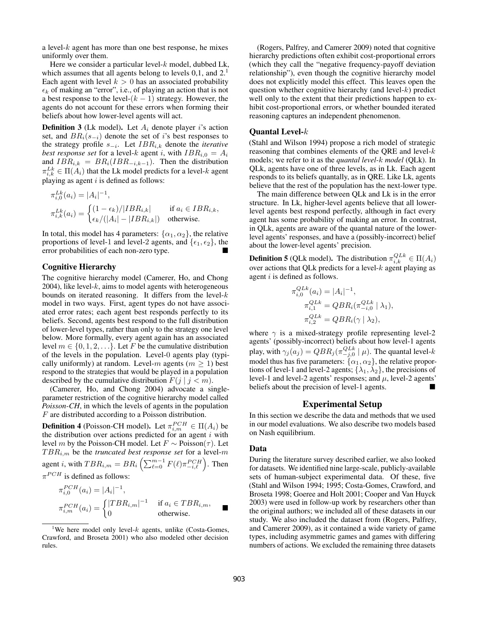a level- $k$  agent has more than one best response, he mixes uniformly over them.

Here we consider a particular level- $k$  model, dubbed Lk, which assumes that all agents belong to levels 0,1, and 2.<sup>1</sup> Each agent with level  $k > 0$  has an associated probability  $\epsilon_k$  of making an "error", i.e., of playing an action that is not a best response to the level- $(k - 1)$  strategy. However, the agents do not account for these errors when forming their beliefs about how lower-level agents will act.

**Definition 3** (Lk model). Let  $A_i$  denote player i's action set, and  $BR<sub>i</sub>(s<sub>−i</sub>)$  denote the set of i's best responses to the strategy profile s<sup>−</sup><sup>i</sup> . Let IBRi,k denote the *iterative best response set* for a level-k agent i, with  $IBR_{i,0} = A_i$ and  $IBR_{i,k} = BR_i (IBR_{-i,k-1})$ . Then the distribution  $\pi_{i,k}^{Lk} \in \Pi(A_i)$  that the Lk model predicts for a level- $k$  agent playing as agent  $i$  is defined as follows:

$$
\pi_{i,0}^{Lk}(a_i) = |A_i|^{-1},
$$
  
\n
$$
\pi_{i,k}^{Lk}(a_i) = \begin{cases} (1 - \epsilon_k)/|IBR_{i,k}| & \text{if } a_i \in IBR_{i,k}, \\ \epsilon_k/(|A_i| - |IBR_{i,k}|) & \text{otherwise.} \end{cases}
$$

In total, this model has 4 parameters:  $\{\alpha_1, \alpha_2\}$ , the relative proportions of level-1 and level-2 agents, and  $\{\epsilon_1, \epsilon_2\}$ , the error probabilities of each non-zero type.

#### Cognitive Hierarchy

The cognitive hierarchy model (Camerer, Ho, and Chong  $2004$ ), like level- $k$ , aims to model agents with heterogeneous bounds on iterated reasoning. It differs from the level- $k$ model in two ways. First, agent types do not have associated error rates; each agent best responds perfectly to its beliefs. Second, agents best respond to the full distribution of lower-level types, rather than only to the strategy one level below. More formally, every agent again has an associated level  $m \in \{0, 1, 2, \ldots\}$ . Let F be the cumulative distribution of the levels in the population. Level-0 agents play (typically uniformly) at random. Level-m agents ( $m \ge 1$ ) best respond to the strategies that would be played in a population described by the cumulative distribution  $F(j \mid j < m)$ .

(Camerer, Ho, and Chong 2004) advocate a singleparameter restriction of the cognitive hierarchy model called *Poisson-CH*, in which the levels of agents in the population F are distributed according to a Poisson distribution.

**Definition 4** (Poisson-CH model). Let  $\pi_{i,m}^{PCH} \in \Pi(A_i)$  be the distribution over actions predicted for an agent  $i$  with level *m* by the Poisson-CH model. Let  $F$  ∼ Poisson( $τ$ ). Let  $TBR_{i,m}$  be the *truncated best response set* for a level-m agent *i*, with  $TBR_{i,m} = BR_i \left( \sum_{\ell=0}^{m-1} F(\ell) \pi_{-i,\ell}^{PCH} \right)$ . Then  $\pi^{PCH}$  is defined as follows:

$$
\pi_{i,0}^{PCH}(a_i) = |A_i|^{-1},
$$
  
\n
$$
\pi_{i,m}^{PCH}(a_i) = \begin{cases} |TBR_{i,m}|^{-1} & \text{if } a_i \in TBR_{i,m}, \\ 0 & \text{otherwise.} \end{cases}
$$

(Rogers, Palfrey, and Camerer 2009) noted that cognitive hierarchy predictions often exhibit cost-proportional errors (which they call the "negative frequency-payoff deviation relationship"), even though the cognitive hierarchy model does not explicitly model this effect. This leaves open the question whether cognitive hierarchy (and level- $k$ ) predict well only to the extent that their predictions happen to exhibit cost-proportional errors, or whether bounded iterated reasoning captures an independent phenomenon.

#### Quantal Level-k

(Stahl and Wilson 1994) propose a rich model of strategic reasoning that combines elements of the QRE and level- $k$ models; we refer to it as the *quantal level-*k *model* (QLk). In QLk, agents have one of three levels, as in Lk. Each agent responds to its beliefs quantally, as in QRE. Like Lk, agents believe that the rest of the population has the next-lower type.

The main difference between QLk and Lk is in the error structure. In Lk, higher-level agents believe that all lowerlevel agents best respond perfectly, although in fact every agent has some probability of making an error. In contrast, in QLk, agents are aware of the quantal nature of the lowerlevel agents' responses, and have a (possibly-incorrect) belief about the lower-level agents' precision.

**Definition 5** (QLk model). The distribution  $\pi_{i,k}^{QLk} \in \Pi(A_i)$ over actions that QLk predicts for a level- $k$  agent playing as agent *i* is defined as follows.

$$
\pi_{i,0}^{QLk}(a_i) = |A_i|^{-1},
$$
  
\n
$$
\pi_{i,1}^{QLk} = QBR_i(\pi_{-i,0}^{QLk} | \lambda_1),
$$
  
\n
$$
\pi_{i,2}^{Lk} = QBR_i(\gamma | \lambda_2),
$$

where  $\gamma$  is a mixed-strategy profile representing level-2 agents' (possibly-incorrect) beliefs about how level-1 agents play, with  $\gamma_j(a_j) = QBR_j(\pi_{-j,0}^{QLk} \mid \mu)$ . The quantal level- $k$ model thus has five parameters:  $\{\alpha_1,\alpha_2\}$ , the relative proportions of level-1 and level-2 agents;  $\{\lambda_1, \lambda_2\}$ , the precisions of level-1 and level-2 agents' responses; and  $\mu$ , level-2 agents' beliefs about the precision of level-1 agents.

### Experimental Setup

In this section we describe the data and methods that we used in our model evaluations. We also describe two models based on Nash equilibrium.

#### Data

During the literature survey described earlier, we also looked for datasets. We identified nine large-scale, publicly-available sets of human-subject experimental data. Of these, five (Stahl and Wilson 1994; 1995; Costa-Gomes, Crawford, and Broseta 1998; Goeree and Holt 2001; Cooper and Van Huyck 2003) were used in follow-up work by researchers other than the original authors; we included all of these datasets in our study. We also included the dataset from (Rogers, Palfrey, and Camerer 2009), as it contained a wide variety of game types, including asymmetric games and games with differing numbers of actions. We excluded the remaining three datasets

<sup>&</sup>lt;sup>1</sup>We here model only level- $k$  agents, unlike (Costa-Gomes, Crawford, and Broseta 2001) who also modeled other decision rules.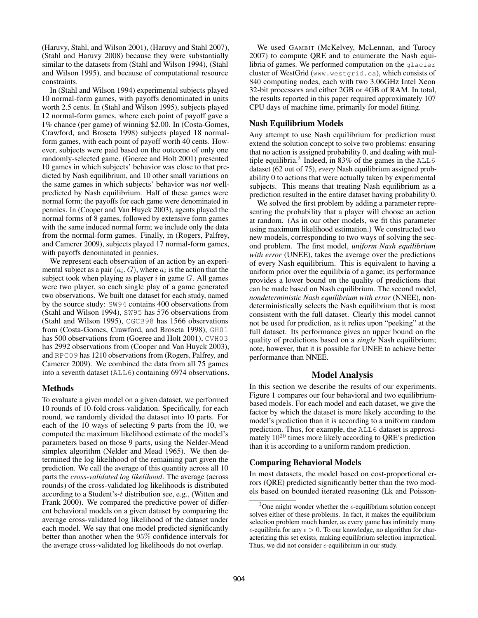(Haruvy, Stahl, and Wilson 2001), (Haruvy and Stahl 2007), (Stahl and Haruvy 2008) because they were substantially similar to the datasets from (Stahl and Wilson 1994), (Stahl and Wilson 1995), and because of computational resource constraints.

In (Stahl and Wilson 1994) experimental subjects played 10 normal-form games, with payoffs denominated in units worth 2.5 cents. In (Stahl and Wilson 1995), subjects played 12 normal-form games, where each point of payoff gave a 1% chance (per game) of winning \$2.00. In (Costa-Gomes, Crawford, and Broseta 1998) subjects played 18 normalform games, with each point of payoff worth 40 cents. However, subjects were paid based on the outcome of only one randomly-selected game. (Goeree and Holt 2001) presented 10 games in which subjects' behavior was close to that predicted by Nash equilibrium, and 10 other small variations on the same games in which subjects' behavior was *not* wellpredicted by Nash equilibrium. Half of these games were normal form; the payoffs for each game were denominated in pennies. In (Cooper and Van Huyck 2003), agents played the normal forms of 8 games, followed by extensive form games with the same induced normal form; we include only the data from the normal-form games. Finally, in (Rogers, Palfrey, and Camerer 2009), subjects played 17 normal-form games, with payoffs denominated in pennies.

We represent each observation of an action by an experimental subject as a pair  $(a_i, G)$ , where  $a_i$  is the action that the subject took when playing as player  $i$  in game  $G$ . All games were two player, so each single play of a game generated two observations. We built one dataset for each study, named by the source study: SW94 contains 400 observations from (Stahl and Wilson 1994), SW95 has 576 observations from (Stahl and Wilson 1995), CGCB98 has 1566 observations from (Costa-Gomes, Crawford, and Broseta 1998), GH01 has 500 observations from (Goeree and Holt 2001), CVH03 has 2992 observations from (Cooper and Van Huyck 2003), and RPC09 has 1210 observations from (Rogers, Palfrey, and Camerer 2009). We combined the data from all 75 games into a seventh dataset (ALL6) containing 6974 observations.

### Methods

To evaluate a given model on a given dataset, we performed 10 rounds of 10-fold cross-validation. Specifically, for each round, we randomly divided the dataset into 10 parts. For each of the 10 ways of selecting 9 parts from the 10, we computed the maximum likelihood estimate of the model's parameters based on those 9 parts, using the Nelder-Mead simplex algorithm (Nelder and Mead 1965). We then determined the log likelihood of the remaining part given the prediction. We call the average of this quantity across all 10 parts the *cross-validated log likelihood*. The average (across rounds) of the cross-validated log likelihoods is distributed according to a Student's-t distribution see, e.g., (Witten and Frank 2000). We compared the predictive power of different behavioral models on a given dataset by comparing the average cross-validated log likelihood of the dataset under each model. We say that one model predicted significantly better than another when the 95% confidence intervals for the average cross-validated log likelihoods do not overlap.

We used GAMBIT (McKelvey, McLennan, and Turocy 2007) to compute QRE and to enumerate the Nash equilibria of games. We performed computation on the glacier cluster of WestGrid (www.westgrid.ca), which consists of 840 computing nodes, each with two 3.06GHz Intel Xeon 32-bit processors and either 2GB or 4GB of RAM. In total, the results reported in this paper required approximately 107 CPU days of machine time, primarily for model fitting.

## Nash Equilibrium Models

Any attempt to use Nash equilibrium for prediction must extend the solution concept to solve two problems: ensuring that no action is assigned probability 0, and dealing with multiple equilibria.<sup>2</sup> Indeed, in 83% of the games in the  $\text{ALL6}$ dataset (62 out of 75), *every* Nash equilibrium assigned probability 0 to actions that were actually taken by experimental subjects. This means that treating Nash equilibrium as a prediction resulted in the entire dataset having probability 0.

We solved the first problem by adding a parameter representing the probability that a player will choose an action at random. (As in our other models, we fit this parameter using maximum likelihood estimation.) We constructed two new models, corresponding to two ways of solving the second problem. The first model, *uniform Nash equilibrium with error* (UNEE), takes the average over the predictions of every Nash equilibrium. This is equivalent to having a uniform prior over the equilibria of a game; its performance provides a lower bound on the quality of predictions that can be made based on Nash equilibrium. The second model, *nondeterministic Nash equilibrium with error* (NNEE), nondeterministically selects the Nash equilibrium that is most consistent with the full dataset. Clearly this model cannot not be used for prediction, as it relies upon "peeking" at the full dataset. Its performance gives an upper bound on the quality of predictions based on a *single* Nash equilibrium; note, however, that it is possible for UNEE to achieve better performance than NNEE.

### Model Analysis

In this section we describe the results of our experiments. Figure 1 compares our four behavioral and two equilibriumbased models. For each model and each dataset, we give the factor by which the dataset is more likely according to the model's prediction than it is according to a uniform random prediction. Thus, for example, the ALL6 dataset is approximately  $10^{20}$  times more likely according to QRE's prediction than it is according to a uniform random prediction.

### Comparing Behavioral Models

In most datasets, the model based on cost-proportional errors (QRE) predicted significantly better than the two models based on bounded iterated reasoning (Lk and Poisson-

<sup>&</sup>lt;sup>2</sup>One might wonder whether the  $\epsilon$ -equilibrium solution concept solves either of these problems. In fact, it makes the equilibrium selection problem much harder, as every game has infinitely many  $\epsilon$ -equilibria for any  $\epsilon > 0$ . To our knowledge, no algorithm for characterizing this set exists, making equilibrium selection impractical. Thus, we did not consider  $\epsilon$ -equilibrium in our study.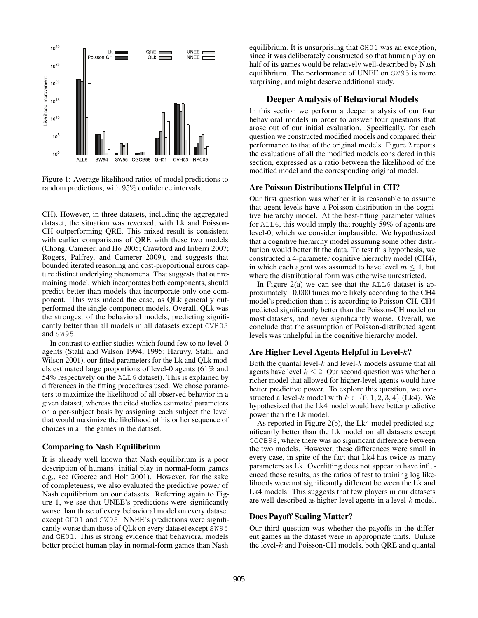

Figure 1: Average likelihood ratios of model predictions to random predictions, with 95% confidence intervals.

CH). However, in three datasets, including the aggregated dataset, the situation was reversed, with Lk and Poisson-CH outperforming QRE. This mixed result is consistent with earlier comparisons of QRE with these two models (Chong, Camerer, and Ho 2005; Crawford and Iriberri 2007; Rogers, Palfrey, and Camerer 2009), and suggests that bounded iterated reasoning and cost-proportional errors capture distinct underlying phenomena. That suggests that our remaining model, which incorporates both components, should predict better than models that incorporate only one component. This was indeed the case, as QLk generally outperformed the single-component models. Overall, QLk was the strongest of the behavioral models, predicting significantly better than all models in all datasets except CVH03 and SW95.

In contrast to earlier studies which found few to no level-0 agents (Stahl and Wilson 1994; 1995; Haruvy, Stahl, and Wilson 2001), our fitted parameters for the Lk and QLk models estimated large proportions of level-0 agents (61% and 54% respectively on the ALL6 dataset). This is explained by differences in the fitting procedures used. We chose parameters to maximize the likelihood of all observed behavior in a given dataset, whereas the cited studies estimated parameters on a per-subject basis by assigning each subject the level that would maximize the likelihood of his or her sequence of choices in all the games in the dataset.

#### Comparing to Nash Equilibrium

It is already well known that Nash equilibrium is a poor description of humans' initial play in normal-form games e.g., see (Goeree and Holt 2001). However, for the sake of completeness, we also evaluated the predictive power of Nash equilibrium on our datasets. Referring again to Figure 1, we see that UNEE's predictions were significantly worse than those of every behavioral model on every dataset except GH01 and SW95. NNEE's predictions were significantly worse than those of QLk on every dataset except SW95 and GH01. This is strong evidence that behavioral models better predict human play in normal-form games than Nash

equilibrium. It is unsurprising that GH01 was an exception, since it was deliberately constructed so that human play on half of its games would be relatively well-described by Nash equilibrium. The performance of UNEE on SW95 is more surprising, and might deserve additional study.

### Deeper Analysis of Behavioral Models

In this section we perform a deeper analysis of our four behavioral models in order to answer four questions that arose out of our initial evaluation. Specifically, for each question we constructed modified models and compared their performance to that of the original models. Figure 2 reports the evaluations of all the modified models considered in this section, expressed as a ratio between the likelihood of the modified model and the corresponding original model.

#### Are Poisson Distributions Helpful in CH?

Our first question was whether it is reasonable to assume that agent levels have a Poisson distribution in the cognitive hierarchy model. At the best-fitting parameter values for ALL6, this would imply that roughly 59% of agents are level-0, which we consider implausible. We hypothesized that a cognitive hierarchy model assuming some other distribution would better fit the data. To test this hypothesis, we constructed a 4-parameter cognitive hierarchy model (CH4), in which each agent was assumed to have level  $m \leq 4$ , but where the distributional form was otherwise unrestricted.

In Figure  $2(a)$  we can see that the ALL6 dataset is approximately 10,000 times more likely according to the CH4 model's prediction than it is according to Poisson-CH. CH4 predicted significantly better than the Poisson-CH model on most datasets, and never significantly worse. Overall, we conclude that the assumption of Poisson-distributed agent levels was unhelpful in the cognitive hierarchy model.

### Are Higher Level Agents Helpful in Level-k?

Both the quantal level- $k$  and level- $k$  models assume that all agents have level  $k \leq 2$ . Our second question was whether a richer model that allowed for higher-level agents would have better predictive power. To explore this question, we constructed a level-k model with  $k \in \{0, 1, 2, 3, 4\}$  (Lk4). We hypothesized that the Lk4 model would have better predictive power than the Lk model.

As reported in Figure 2(b), the Lk4 model predicted significantly better than the Lk model on all datasets except CGCB98, where there was no significant difference between the two models. However, these differences were small in every case, in spite of the fact that Lk4 has twice as many parameters as Lk. Overfitting does not appear to have influenced these results, as the ratios of test to training log likelihoods were not significantly different between the Lk and Lk4 models. This suggests that few players in our datasets are well-described as higher-level agents in a level-k model.

#### Does Payoff Scaling Matter?

Our third question was whether the payoffs in the different games in the dataset were in appropriate units. Unlike the level- $k$  and Poisson-CH models, both QRE and quantal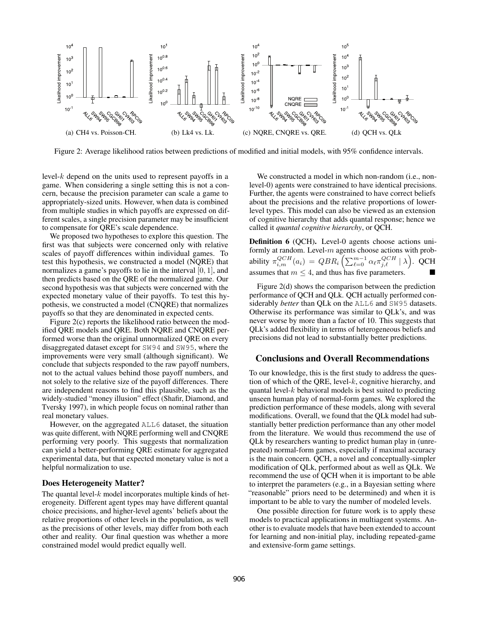

Figure 2: Average likelihood ratios between predictions of modified and initial models, with 95% confidence intervals.

level-k depend on the units used to represent payoffs in a game. When considering a single setting this is not a concern, because the precision parameter can scale a game to appropriately-sized units. However, when data is combined from multiple studies in which payoffs are expressed on different scales, a single precision parameter may be insufficient to compensate for QRE's scale dependence.

We proposed two hypotheses to explore this question. The first was that subjects were concerned only with relative scales of payoff differences within individual games. To test this hypothesis, we constructed a model (NQRE) that normalizes a game's payoffs to lie in the interval [0, 1], and then predicts based on the QRE of the normalized game. Our second hypothesis was that subjects were concerned with the expected monetary value of their payoffs. To test this hypothesis, we constructed a model (CNQRE) that normalizes payoffs so that they are denominated in expected cents.

Figure 2(c) reports the likelihood ratio between the modified QRE models and QRE. Both NQRE and CNQRE performed worse than the original unnormalized QRE on every disaggregated dataset except for SW94 and SW95, where the improvements were very small (although significant). We conclude that subjects responded to the raw payoff numbers, not to the actual values behind those payoff numbers, and not solely to the relative size of the payoff differences. There are independent reasons to find this plausible, such as the widely-studied "money illusion" effect (Shafir, Diamond, and Tversky 1997), in which people focus on nominal rather than real monetary values.

However, on the aggregated ALL6 dataset, the situation was quite different, with NQRE performing well and CNQRE performing very poorly. This suggests that normalization can yield a better-performing QRE estimate for aggregated experimental data, but that expected monetary value is not a helpful normalization to use.

### Does Heterogeneity Matter?

The quantal level- $k$  model incorporates multiple kinds of heterogeneity. Different agent types may have different quantal choice precisions, and higher-level agents' beliefs about the relative proportions of other levels in the population, as well as the precisions of other levels, may differ from both each other and reality. Our final question was whether a more constrained model would predict equally well.

We constructed a model in which non-random (i.e., nonlevel-0) agents were constrained to have identical precisions. Further, the agents were constrained to have correct beliefs about the precisions and the relative proportions of lowerlevel types. This model can also be viewed as an extension of cognitive hierarchy that adds quantal response; hence we called it *quantal cognitive hierarchy*, or QCH.

Definition 6 (QCH). Level-0 agents choose actions uniformly at random. Level- $m$  agents choose actions with probability  $\pi_{i,m}^{QCH}(a_i) = QBR_i \left( \sum_{\ell=0}^{m-1} \alpha_{\ell} \pi_{j,\ell}^{QCH} | \lambda \right)$ . QCH assumes that  $m \leq 4$ , and thus has five parameters.

Figure 2(d) shows the comparison between the prediction performance of QCH and QLk. QCH actually performed considerably *better* than QLk on the ALL6 and SW95 datasets. Otherwise its performance was similar to QLk's, and was never worse by more than a factor of 10. This suggests that QLk's added flexibility in terms of heterogeneous beliefs and precisions did not lead to substantially better predictions.

### Conclusions and Overall Recommendations

To our knowledge, this is the first study to address the question of which of the QRE, level- $k$ , cognitive hierarchy, and quantal level- $k$  behavioral models is best suited to predicting unseen human play of normal-form games. We explored the prediction performance of these models, along with several modifications. Overall, we found that the QLk model had substantially better prediction performance than any other model from the literature. We would thus recommend the use of QLk by researchers wanting to predict human play in (unrepeated) normal-form games, especially if maximal accuracy is the main concern. QCH, a novel and conceptually-simpler modification of QLk, performed about as well as QLk. We recommend the use of QCH when it is important to be able to interpret the parameters (e.g., in a Bayesian setting where "reasonable" priors need to be determined) and when it is important to be able to vary the number of modeled levels.

One possible direction for future work is to apply these models to practical applications in multiagent systems. Another is to evaluate models that have been extended to account for learning and non-initial play, including repeated-game and extensive-form game settings.